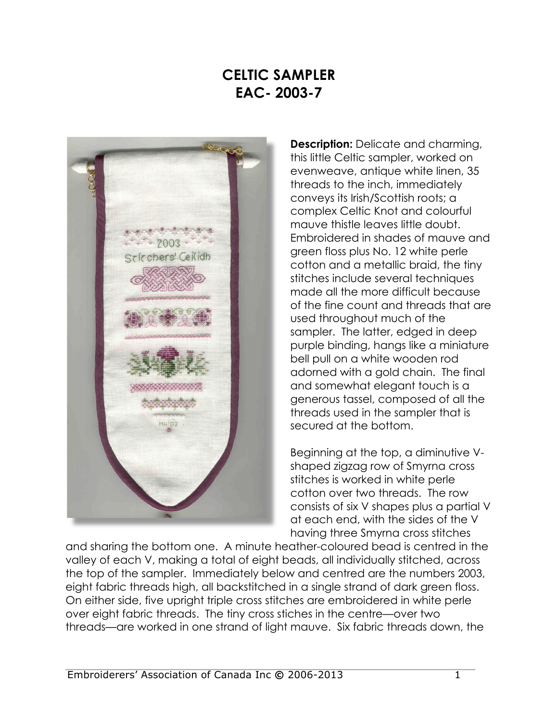## **CELTIC SAMPLER EAC- 2003-7**



**Description:** Delicate and charming, this little Celtic sampler, worked on evenweave, antique white linen, 35 threads to the inch, immediately conveys its Irish/Scottish roots; a complex Celtic Knot and colourful mauve thistle leaves little doubt. Embroidered in shades of mauve and green floss plus No. 12 white perle cotton and a metallic braid, the tiny stitches include several techniques made all the more difficult because of the fine count and threads that are used throughout much of the sampler. The latter, edged in deep purple binding, hangs like a miniature bell pull on a white wooden rod adorned with a gold chain. The final and somewhat elegant touch is a generous tassel, composed of all the threads used in the sampler that is secured at the bottom.

Beginning at the top, a diminutive Vshaped zigzag row of Smyrna cross stitches is worked in white perle cotton over two threads. The row consists of six V shapes plus a partial V at each end, with the sides of the V having three Smyrna cross stitches

and sharing the bottom one. A minute heather-coloured bead is centred in the valley of each V, making a total of eight beads, all individually stitched, across the top of the sampler. Immediately below and centred are the numbers 2003, eight fabric threads high, all backstitched in a single strand of dark green floss. On either side, five upright triple cross stitches are embroidered in white perle over eight fabric threads. The tiny cross stiches in the centre—over two threads—are worked in one strand of light mauve. Six fabric threads down, the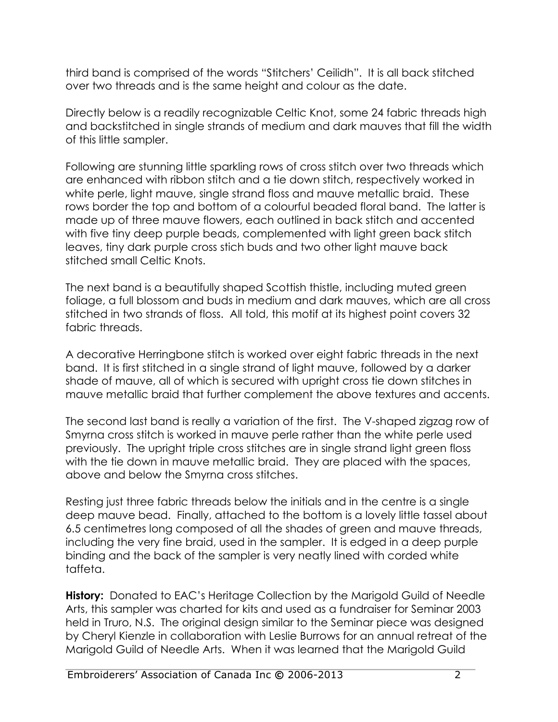third band is comprised of the words "Stitchers' Ceilidh". It is all back stitched over two threads and is the same height and colour as the date.

Directly below is a readily recognizable Celtic Knot, some 24 fabric threads high and backstitched in single strands of medium and dark mauves that fill the width of this little sampler.

Following are stunning little sparkling rows of cross stitch over two threads which are enhanced with ribbon stitch and a tie down stitch, respectively worked in white perle, light mauve, single strand floss and mauve metallic braid. These rows border the top and bottom of a colourful beaded floral band. The latter is made up of three mauve flowers, each outlined in back stitch and accented with five tiny deep purple beads, complemented with light green back stitch leaves, tiny dark purple cross stich buds and two other light mauve back stitched small Celtic Knots.

The next band is a beautifully shaped Scottish thistle, including muted green foliage, a full blossom and buds in medium and dark mauves, which are all cross stitched in two strands of floss. All told, this motif at its highest point covers 32 fabric threads.

A decorative Herringbone stitch is worked over eight fabric threads in the next band. It is first stitched in a single strand of light mauve, followed by a darker shade of mauve, all of which is secured with upright cross tie down stitches in mauve metallic braid that further complement the above textures and accents.

The second last band is really a variation of the first. The V-shaped zigzag row of Smyrna cross stitch is worked in mauve perle rather than the white perle used previously. The upright triple cross stitches are in single strand light green floss with the tie down in mauve metallic braid. They are placed with the spaces, above and below the Smyrna cross stitches.

Resting just three fabric threads below the initials and in the centre is a single deep mauve bead. Finally, attached to the bottom is a lovely little tassel about 6.5 centimetres long composed of all the shades of green and mauve threads, including the very fine braid, used in the sampler. It is edged in a deep purple binding and the back of the sampler is very neatly lined with corded white taffeta.

**History:** Donated to EAC's Heritage Collection by the Marigold Guild of Needle Arts, this sampler was charted for kits and used as a fundraiser for Seminar 2003 held in Truro, N.S. The original design similar to the Seminar piece was designed by Cheryl Kienzle in collaboration with Leslie Burrows for an annual retreat of the Marigold Guild of Needle Arts. When it was learned that the Marigold Guild